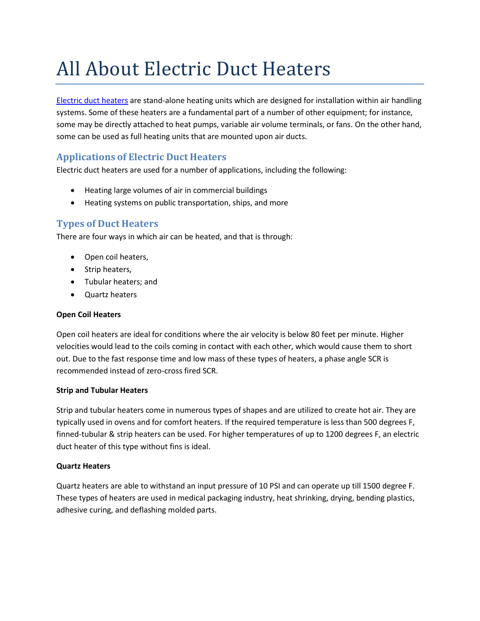# All About Electric Duct Heaters

Electric duct [heaters](http://www.wattco.com/duct-heaters.html) are stand-alone heating units which are designed for installation within air handling systems. Some of these heaters are a fundamental part of a number of other equipment; for instance, some may be directly attached to heat pumps, variable air volume terminals, or fans. On the other hand, some can be used as full heating units that are mounted upon air ducts.

## **Applications of Electric Duct Heaters**

Electric duct heaters are used for a number of applications, including the following:

- Heating large volumes of air in commercial buildings
- Heating systems on public transportation, ships, and more

## **Types of Duct Heaters**

There are four ways in which air can be heated, and that is through:

- Open coil heaters,
- Strip heaters,
- Tubular heaters; and
- Quartz heaters

#### **Open Coil Heaters**

Open coil heaters are ideal for conditions where the air velocity is below 80 feet per minute. Higher velocities would lead to the coils coming in contact with each other, which would cause them to short out. Due to the fast response time and low mass of these types of heaters, a phase angle SCR is recommended instead of zero-cross fired SCR.

#### **Strip and Tubular Heaters**

Strip and tubular heaters come in numerous types of shapes and are utilized to create hot air. They are typically used in ovens and for comfort heaters. If the required temperature is less than 500 degrees F, finned-tubular & strip heaters can be used. For higher temperatures of up to 1200 degrees F, an electric duct heater of this type without fins is ideal.

#### **Quartz Heaters**

Quartz heaters are able to withstand an input pressure of 10 PSI and can operate up till 1500 degree F. These types of heaters are used in medical packaging industry, heat shrinking, drying, bending plastics, adhesive curing, and deflashing molded parts.